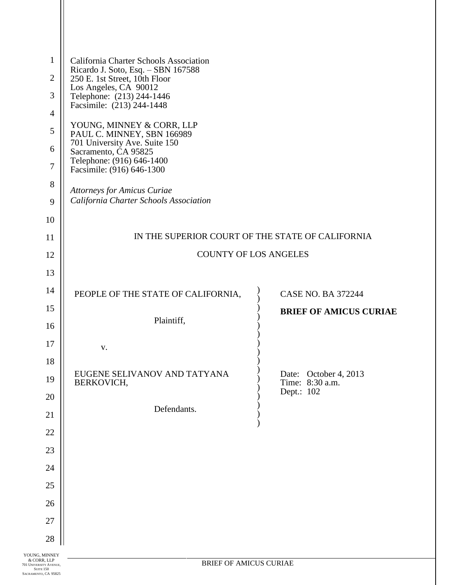| $\mathbf{1}$   | California Charter Schools Association<br>Ricardo J. Soto, Esq. - SBN 167588    |                                          |  |
|----------------|---------------------------------------------------------------------------------|------------------------------------------|--|
| $\overline{2}$ | 250 E. 1st Street, 10th Floor                                                   |                                          |  |
| 3              | Los Angeles, CA 90012<br>Telephone: (213) 244-1446<br>Facsimile: (213) 244-1448 |                                          |  |
| 4              |                                                                                 |                                          |  |
| 5              | YOUNG, MINNEY & CORR, LLP<br>PAUL C. MINNEY, SBN 166989                         |                                          |  |
| 6              | 701 University Ave. Suite 150<br>Sacramento, CA 95825                           |                                          |  |
| $\overline{7}$ | Telephone: (916) 646-1400<br>Facsimile: (916) 646-1300                          |                                          |  |
| 8              | <b>Attorneys for Amicus Curiae</b>                                              |                                          |  |
| 9              | California Charter Schools Association                                          |                                          |  |
| 10             |                                                                                 |                                          |  |
| 11             | IN THE SUPERIOR COURT OF THE STATE OF CALIFORNIA                                |                                          |  |
| 12             | <b>COUNTY OF LOS ANGELES</b>                                                    |                                          |  |
| 13             |                                                                                 |                                          |  |
| 14             | PEOPLE OF THE STATE OF CALIFORNIA,                                              | <b>CASE NO. BA 372244</b>                |  |
|                |                                                                                 |                                          |  |
| 15             |                                                                                 | <b>BRIEF OF AMICUS CURIAE</b>            |  |
| 16             | Plaintiff,                                                                      |                                          |  |
| 17             | V.                                                                              |                                          |  |
| 18             |                                                                                 |                                          |  |
| 19             | EUGENE SELIVANOV AND TATYANA<br>BERKOVICH,                                      | Date: October 4, 2013<br>Time: 8:30 a.m. |  |
| 20             |                                                                                 | Dept.: 102                               |  |
| 21             | Defendants.                                                                     |                                          |  |
| 22             |                                                                                 |                                          |  |
| 23             |                                                                                 |                                          |  |
| 24             |                                                                                 |                                          |  |
| 25             |                                                                                 |                                          |  |
| 26             |                                                                                 |                                          |  |
| 27             |                                                                                 |                                          |  |
| 28             |                                                                                 |                                          |  |

Н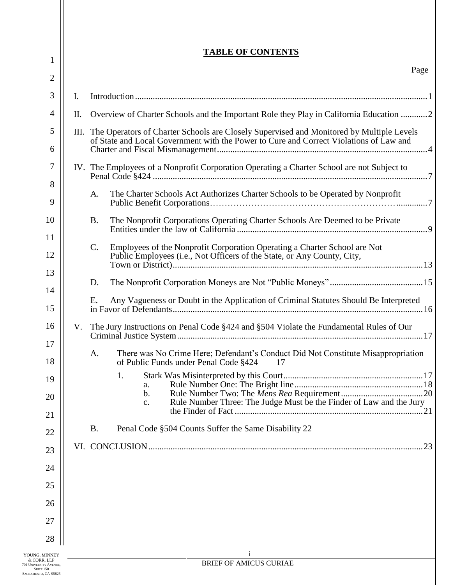| $\mathbf{1}$   |  |
|----------------|--|
| 2              |  |
| 3              |  |
| $\overline{4}$ |  |

# **TABLE OF CONTENTS**

| ↵                   |                |                                                                                                                                                            |  |
|---------------------|----------------|------------------------------------------------------------------------------------------------------------------------------------------------------------|--|
| 3                   | $\mathbf{I}$ . |                                                                                                                                                            |  |
| $\overline{4}$      | П.             | Overview of Charter Schools and the Important Role they Play in California Education 2                                                                     |  |
| 5                   |                | III. The Operators of Charter Schools are Closely Supervised and Monitored by Multiple Levels                                                              |  |
| 6                   |                | of State and Local Government with the Power to Cure and Correct Violations of Law and                                                                     |  |
| 7                   |                | IV. The Employees of a Nonprofit Corporation Operating a Charter School are not Subject to                                                                 |  |
| 8                   |                |                                                                                                                                                            |  |
| 9                   |                | The Charter Schools Act Authorizes Charter Schools to be Operated by Nonprofit<br>A.                                                                       |  |
| 10                  |                | The Nonprofit Corporations Operating Charter Schools Are Deemed to be Private<br><b>B.</b>                                                                 |  |
| 11                  |                |                                                                                                                                                            |  |
| 12                  |                | C.<br>Employees of the Nonprofit Corporation Operating a Charter School are Not<br>Public Employees (i.e., Not Officers of the State, or Any County, City, |  |
| 13                  |                |                                                                                                                                                            |  |
| 14                  |                | D.                                                                                                                                                         |  |
| 15                  |                | Any Vagueness or Doubt in the Application of Criminal Statutes Should Be Interpreted<br>Ε.                                                                 |  |
| 16                  | V.             | The Jury Instructions on Penal Code §424 and §504 Violate the Fundamental Rules of Our                                                                     |  |
| 17                  |                |                                                                                                                                                            |  |
| 18                  |                | There was No Crime Here; Defendant's Conduct Did Not Constitute Misappropriation<br>A.<br>of Public Funds under Penal Code §424<br>17                      |  |
| 19                  |                | 1.<br>a.                                                                                                                                                   |  |
| 20                  |                | b.<br>Rule Number Three: The Judge Must be the Finder of Law and the Jury<br>c.                                                                            |  |
| 21                  |                | 21                                                                                                                                                         |  |
| 22                  |                | Penal Code §504 Counts Suffer the Same Disability 22<br><b>B.</b>                                                                                          |  |
| 23                  |                | .23                                                                                                                                                        |  |
| 24                  |                |                                                                                                                                                            |  |
| 25                  |                |                                                                                                                                                            |  |
| 26                  |                |                                                                                                                                                            |  |
| 27                  |                |                                                                                                                                                            |  |
| 28                  |                |                                                                                                                                                            |  |
| , MINNEY<br>RR, LLP |                | RRIEE OF AMICUS CURIAE                                                                                                                                     |  |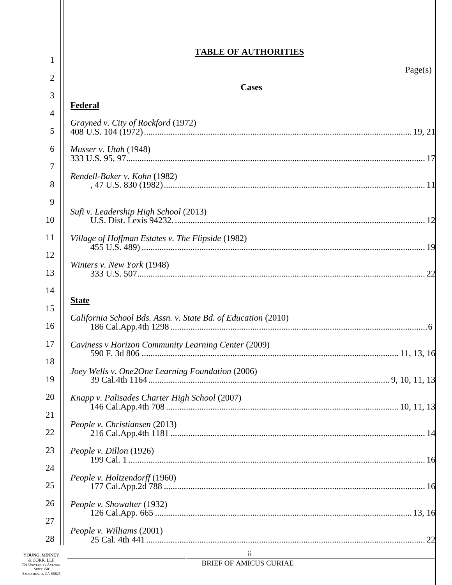## **TABLE OF AUTHORITIES**

| 1              |                                                               | Page(s) |
|----------------|---------------------------------------------------------------|---------|
| $\overline{2}$ | <b>Cases</b>                                                  |         |
| 3              | Federal                                                       |         |
| $\overline{4}$ | Grayned v. City of Rockford (1972)                            |         |
| 5              |                                                               |         |
| 6              | Musser v. Utah $(1948)$                                       |         |
| 7              | Rendell-Baker v. Kohn (1982)                                  |         |
| 8              |                                                               |         |
| 9<br>10        | Sufi v. Leadership High School (2013)                         |         |
| 11             | Village of Hoffman Estates v. The Flipside (1982)             |         |
| 12             | Winters v. New York (1948)                                    |         |
| 13             |                                                               |         |
| 14             | <u>State</u>                                                  |         |
| 15             |                                                               |         |
| 16             | California School Bds. Assn. v. State Bd. of Education (2010) |         |
| 17             | Caviness v Horizon Community Learning Center (2009)           |         |
| 18             |                                                               |         |
| 19             | Joey Wells v. One2One Learning Foundation (2006)              |         |
| 20             | Knapp v. Palisades Charter High School (2007)                 |         |
| 21             |                                                               |         |
| 22             | People v. Christiansen (2013)                                 |         |
| 23             | People v. Dillon (1926)                                       |         |
| 24             |                                                               |         |
| 25             | People v. Holtzendorff (1960)                                 |         |
| 26             | People v. Showalter (1932)                                    |         |
| 27             |                                                               |         |
| 28             | People v. Williams (2001)                                     |         |
| <b>IINNEY</b>  | $\overline{\mathbf{u}}$                                       |         |

YOUNG, MINNEY<br>& CORR, LLP<br>701 UNIVERSITY AVENUE,<br>SUITE 150<br>SACRAMENTO, CA 95825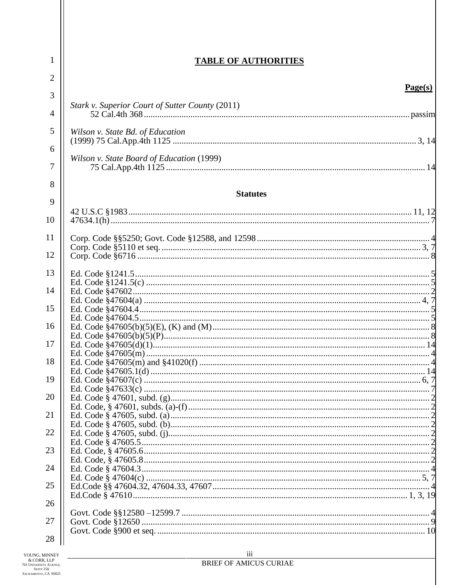| 1              | <b>TABLE OF AUTHORITIES</b>                     |  |
|----------------|-------------------------------------------------|--|
| $\overline{2}$ | Page(s)                                         |  |
| 3              | Stark v. Superior Court of Sutter County (2011) |  |
| $\overline{4}$ |                                                 |  |
| 5              | Wilson v. State Bd. of Education                |  |
| 6              |                                                 |  |
| 7              | Wilson v. State Board of Education (1999)       |  |
| 8              | <b>Statutes</b>                                 |  |
| 9              |                                                 |  |
| 10             |                                                 |  |
| 11             |                                                 |  |
| 12             |                                                 |  |
| 13             |                                                 |  |
| 14             |                                                 |  |
| 15             |                                                 |  |
| 16             |                                                 |  |
| 17             |                                                 |  |
|                |                                                 |  |
| 18             |                                                 |  |
| 19             |                                                 |  |
| 20             |                                                 |  |
| 21             |                                                 |  |
| 22             |                                                 |  |
| 23             |                                                 |  |
| 24             |                                                 |  |
|                |                                                 |  |
| 25             |                                                 |  |
| 26             |                                                 |  |
| 27             |                                                 |  |
| 28             |                                                 |  |
| <b>MINNEY</b>  | iii                                             |  |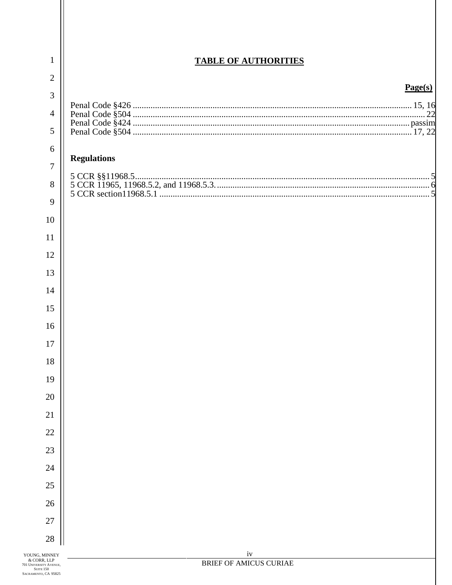| $\mathbf{1}$                                           | <b>TABLE OF AUTHORITIES</b>         |
|--------------------------------------------------------|-------------------------------------|
| $\overline{2}$                                         |                                     |
| 3                                                      | Page(s)                             |
| $\overline{4}$                                         |                                     |
| 5                                                      |                                     |
| 6                                                      |                                     |
| $\overline{7}$                                         | <b>Regulations</b>                  |
| 8                                                      |                                     |
| 9                                                      |                                     |
| 10                                                     |                                     |
| 11                                                     |                                     |
| 12                                                     |                                     |
| 13                                                     |                                     |
| 14                                                     |                                     |
| 15                                                     |                                     |
| 16                                                     |                                     |
| 17                                                     |                                     |
| 18                                                     |                                     |
| 19                                                     |                                     |
| 20                                                     |                                     |
| 21                                                     |                                     |
| 22                                                     |                                     |
| 23                                                     |                                     |
| 24                                                     |                                     |
| 25                                                     |                                     |
| 26                                                     |                                     |
| 27                                                     |                                     |
| 28                                                     |                                     |
| i, MINNEY<br>RR, LLP<br>RSITY AVENUE,<br><b>TE 150</b> | iv<br><b>BRIEF OF AMICUS CURIAE</b> |

Н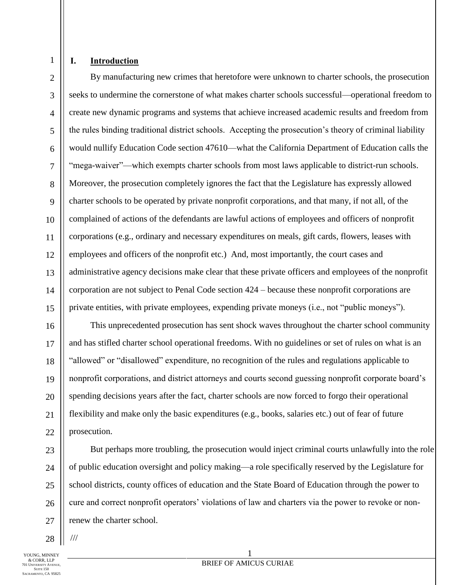## **I. Introduction**

1

2

3

4

5

6

7

8

9

10

11

12

13

14

15

16

17

18

19

20

21

22

23

24

25

26

27

By manufacturing new crimes that heretofore were unknown to charter schools, the prosecution seeks to undermine the cornerstone of what makes charter schools successful—operational freedom to create new dynamic programs and systems that achieve increased academic results and freedom from the rules binding traditional district schools. Accepting the prosecution's theory of criminal liability would nullify Education Code section 47610—what the California Department of Education calls the "mega-waiver"—which exempts charter schools from most laws applicable to district-run schools. Moreover, the prosecution completely ignores the fact that the Legislature has expressly allowed charter schools to be operated by private nonprofit corporations, and that many, if not all, of the complained of actions of the defendants are lawful actions of employees and officers of nonprofit corporations (e.g., ordinary and necessary expenditures on meals, gift cards, flowers, leases with employees and officers of the nonprofit etc.) And, most importantly, the court cases and administrative agency decisions make clear that these private officers and employees of the nonprofit corporation are not subject to Penal Code section 424 – because these nonprofit corporations are private entities, with private employees, expending private moneys (i.e., not "public moneys").

This unprecedented prosecution has sent shock waves throughout the charter school community and has stifled charter school operational freedoms. With no guidelines or set of rules on what is an "allowed" or "disallowed" expenditure, no recognition of the rules and regulations applicable to nonprofit corporations, and district attorneys and courts second guessing nonprofit corporate board's spending decisions years after the fact, charter schools are now forced to forgo their operational flexibility and make only the basic expenditures (e.g., books, salaries etc.) out of fear of future prosecution.

But perhaps more troubling, the prosecution would inject criminal courts unlawfully into the role of public education oversight and policy making—a role specifically reserved by the Legislature for school districts, county offices of education and the State Board of Education through the power to cure and correct nonprofit operators' violations of law and charters via the power to revoke or nonrenew the charter school.

1

28 ///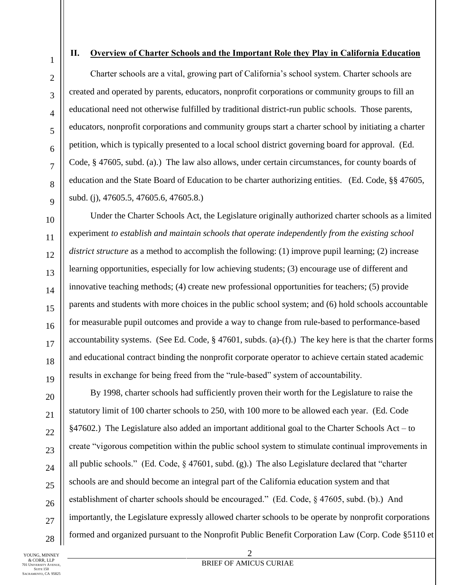2

3

4

5

6

7

8

 $\overline{Q}$ 

10

11

12

13

14

15

16

17

18

19

20

21

22

23

24

25

26

27

28

## **II. Overview of Charter Schools and the Important Role they Play in California Education**

Charter schools are a vital, growing part of California's school system. Charter schools are created and operated by parents, educators, nonprofit corporations or community groups to fill an educational need not otherwise fulfilled by traditional district-run public schools. Those parents, educators, nonprofit corporations and community groups start a charter school by initiating a charter petition, which is typically presented to a local school district governing board for approval. (Ed. Code, § 47605, subd. (a).) The law also allows, under certain circumstances, for county boards of education and the State Board of Education to be charter authorizing entities. (Ed. Code, §§ 47605, subd. (j), 47605.5, 47605.6, 47605.8.)

Under the Charter Schools Act, the Legislature originally authorized charter schools as a limited experiment *to establish and maintain schools that operate independently from the existing school district structure* as a method to accomplish the following: (1) improve pupil learning; (2) increase learning opportunities, especially for low achieving students; (3) encourage use of different and innovative teaching methods; (4) create new professional opportunities for teachers; (5) provide parents and students with more choices in the public school system; and (6) hold schools accountable for measurable pupil outcomes and provide a way to change from rule-based to performance-based accountability systems. (See Ed. Code,  $\S$  47601, subds. (a)-(f).) The key here is that the charter forms and educational contract binding the nonprofit corporate operator to achieve certain stated academic results in exchange for being freed from the "rule-based" system of accountability.

By 1998, charter schools had sufficiently proven their worth for the Legislature to raise the statutory limit of 100 charter schools to 250, with 100 more to be allowed each year. (Ed. Code §47602.) The Legislature also added an important additional goal to the Charter Schools Act – to create "vigorous competition within the public school system to stimulate continual improvements in all public schools." (Ed. Code, § 47601, subd. (g).) The also Legislature declared that "charter schools are and should become an integral part of the California education system and that establishment of charter schools should be encouraged." (Ed. Code, § 47605, subd. (b).) And importantly, the Legislature expressly allowed charter schools to be operate by nonprofit corporations formed and organized pursuant to the Nonprofit Public Benefit Corporation Law (Corp. Code §5110 et

YOUNG, MINNEY & CORR, LLP 701 UNIVERSITY AVENUE, SUITE 150 SACRAMENTO, CA 95825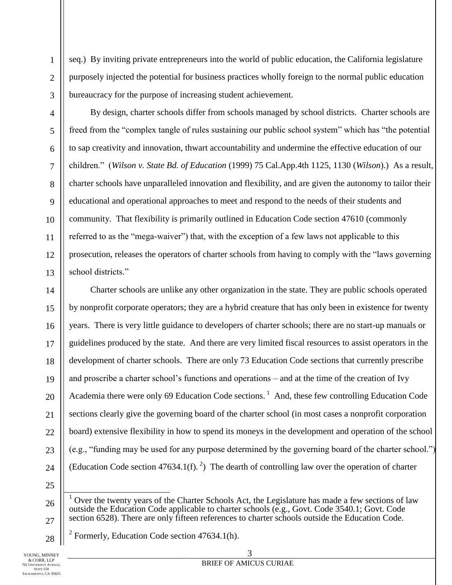seq.) By inviting private entrepreneurs into the world of public education, the California legislature purposely injected the potential for business practices wholly foreign to the normal public education bureaucracy for the purpose of increasing student achievement.

By design, charter schools differ from schools managed by school districts. Charter schools are freed from the "complex tangle of rules sustaining our public school system" which has "the potential to sap creativity and innovation, thwart accountability and undermine the effective education of our children." (*Wilson v. State Bd. of Education* (1999) 75 Cal.App.4th 1125, 1130 (*Wilson*).) As a result, charter schools have unparalleled innovation and flexibility, and are given the autonomy to tailor their educational and operational approaches to meet and respond to the needs of their students and community. That flexibility is primarily outlined in Education Code section 47610 (commonly referred to as the "mega-waiver") that, with the exception of a few laws not applicable to this prosecution, releases the operators of charter schools from having to comply with the "laws governing school districts."

Charter schools are unlike any other organization in the state. They are public schools operated by nonprofit corporate operators; they are a hybrid creature that has only been in existence for twenty years. There is very little guidance to developers of charter schools; there are no start-up manuals or guidelines produced by the state. And there are very limited fiscal resources to assist operators in the development of charter schools. There are only 73 Education Code sections that currently prescribe and proscribe a charter school's functions and operations – and at the time of the creation of Ivy Academia there were only 69 Education Code sections.<sup>1</sup> And, these few controlling Education Code sections clearly give the governing board of the charter school (in most cases a nonprofit corporation board) extensive flexibility in how to spend its moneys in the development and operation of the school (e.g., "funding may be used for any purpose determined by the governing board of the charter school.") (Education Code section 47634.1(f).<sup>2</sup>) The dearth of controlling law over the operation of charter

├ Over the twenty years of the Charter Schools Act, the Legislature has made a few sections of law outside the Education Code applicable to charter schools (e.g., Govt. Code 3540.1; Govt. Code section 6528). There are only fifteen references to charter schools outside the Education Code.

<sup>2</sup> Formerly, Education Code section  $47634.1(h)$ .

1

2

3

4

5

6

7

8

9

10

11

12

13

14

15

16

17

18

19

20

21

22

23

24

25

26

27

28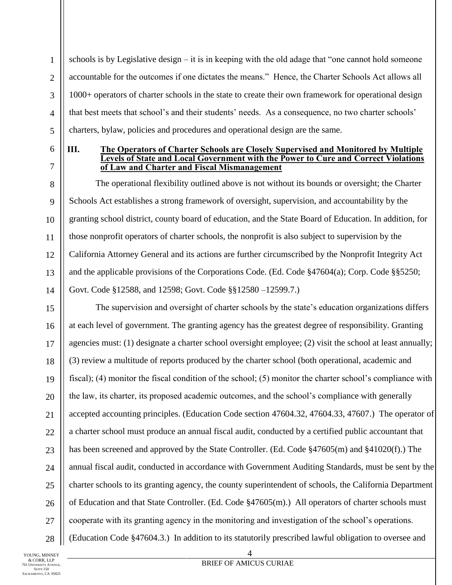schools is by Legislative design – it is in keeping with the old adage that "one cannot hold someone accountable for the outcomes if one dictates the means." Hence, the Charter Schools Act allows all 1000+ operators of charter schools in the state to create their own framework for operational design that best meets that school's and their students' needs. As a consequence, no two charter schools' charters, bylaw, policies and procedures and operational design are the same.

1

2

3

4

5

6

7

8

9

10

11

12

13

14

17

21

#### **III. The Operators of Charter Schools are Closely Supervised and Monitored by Multiple Levels of State and Local Government with the Power to Cure and Correct Violations of Law and Charter and Fiscal Mismanagement**

The operational flexibility outlined above is not without its bounds or oversight; the Charter Schools Act establishes a strong framework of oversight, supervision, and accountability by the granting school district, county board of education, and the State Board of Education. In addition, for those nonprofit operators of charter schools, the nonprofit is also subject to supervision by the California Attorney General and its actions are further circumscribed by the Nonprofit Integrity Act and the applicable provisions of the Corporations Code. (Ed. Code §47604(a); Corp. Code §§5250; Govt. Code §12588, and 12598; Govt. Code §§12580 –12599.7.)

15 16 18 19 20 22 23 24 25 26 28 The supervision and oversight of charter schools by the state's education organizations differs at each level of government. The granting agency has the greatest degree of responsibility. Granting agencies must: (1) designate a charter school oversight employee; (2) visit the school at least annually; (3) review a multitude of reports produced by the charter school (both operational, academic and fiscal); (4) monitor the fiscal condition of the school; (5) monitor the charter school's compliance with the law, its charter, its proposed academic outcomes, and the school's compliance with generally accepted accounting principles. (Education Code section 47604.32, 47604.33, 47607.) The operator of a charter school must produce an annual fiscal audit, conducted by a certified public accountant that has been screened and approved by the State Controller. (Ed. Code §47605(m) and §41020(f).) The annual fiscal audit, conducted in accordance with Government Auditing Standards, must be sent by the charter schools to its granting agency, the county superintendent of schools, the California Department of Education and that State Controller. (Ed. Code §47605(m).) All operators of charter schools must cooperate with its granting agency in the monitoring and investigation of the school's operations. (Education Code §47604.3.) In addition to its statutorily prescribed lawful obligation to oversee and

YOUNG MINNEY & CORR, LLP 701 UNIVERSITY AVENUE, SUITE 150 SACRAMENTO, CA 95825

27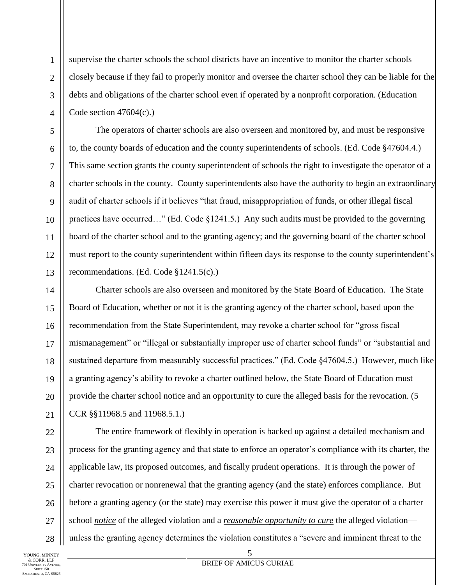supervise the charter schools the school districts have an incentive to monitor the charter schools closely because if they fail to properly monitor and oversee the charter school they can be liable for the debts and obligations of the charter school even if operated by a nonprofit corporation. (Education Code section  $47604(c)$ .

The operators of charter schools are also overseen and monitored by, and must be responsive to, the county boards of education and the county superintendents of schools. (Ed. Code §47604.4.) This same section grants the county superintendent of schools the right to investigate the operator of a charter schools in the county. County superintendents also have the authority to begin an extraordinary audit of charter schools if it believes "that fraud, misappropriation of funds, or other illegal fiscal practices have occurred…" (Ed. Code §1241.5.) Any such audits must be provided to the governing board of the charter school and to the granting agency; and the governing board of the charter school must report to the county superintendent within fifteen days its response to the county superintendent's recommendations. (Ed. Code §1241.5(c).)

Charter schools are also overseen and monitored by the State Board of Education. The State Board of Education, whether or not it is the granting agency of the charter school, based upon the recommendation from the State Superintendent, may revoke a charter school for "gross fiscal mismanagement" or "illegal or substantially improper use of charter school funds" or "substantial and sustained departure from measurably successful practices." (Ed. Code §47604.5.) However, much like a granting agency's ability to revoke a charter outlined below, the State Board of Education must provide the charter school notice and an opportunity to cure the alleged basis for the revocation. (5 CCR §§11968.5 and 11968.5.1.)

The entire framework of flexibly in operation is backed up against a detailed mechanism and process for the granting agency and that state to enforce an operator's compliance with its charter, the applicable law, its proposed outcomes, and fiscally prudent operations. It is through the power of charter revocation or nonrenewal that the granting agency (and the state) enforces compliance. But before a granting agency (or the state) may exercise this power it must give the operator of a charter school *notice* of the alleged violation and a *reasonable opportunity to cure* the alleged violation unless the granting agency determines the violation constitutes a "severe and imminent threat to the

YOUNG, MINNEY & CORR, LLP 701 UNIVERSITY AVENUE, SUITE 150 SACRAMENTO, CA 95825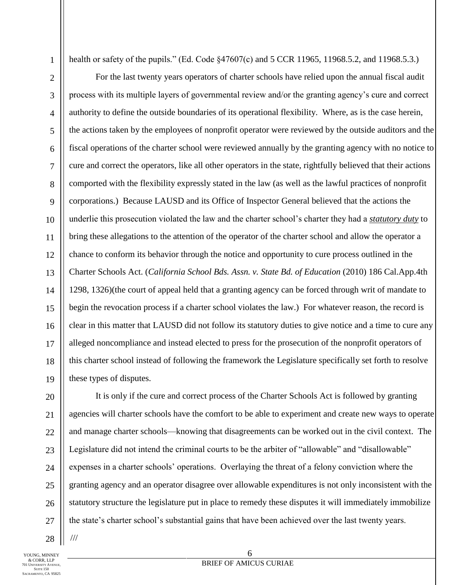health or safety of the pupils." (Ed. Code §47607(c) and 5 CCR 11965, 11968.5.2, and 11968.5.3.)

For the last twenty years operators of charter schools have relied upon the annual fiscal audit process with its multiple layers of governmental review and/or the granting agency's cure and correct authority to define the outside boundaries of its operational flexibility. Where, as is the case herein, the actions taken by the employees of nonprofit operator were reviewed by the outside auditors and the fiscal operations of the charter school were reviewed annually by the granting agency with no notice to cure and correct the operators, like all other operators in the state, rightfully believed that their actions comported with the flexibility expressly stated in the law (as well as the lawful practices of nonprofit corporations.) Because LAUSD and its Office of Inspector General believed that the actions the underlie this prosecution violated the law and the charter school's charter they had a *statutory duty* to bring these allegations to the attention of the operator of the charter school and allow the operator a chance to conform its behavior through the notice and opportunity to cure process outlined in the Charter Schools Act. (*California School Bds. Assn. v. State Bd. of Education* (2010) 186 Cal.App.4th 1298, 1326)(the court of appeal held that a granting agency can be forced through writ of mandate to begin the revocation process if a charter school violates the law.) For whatever reason, the record is clear in this matter that LAUSD did not follow its statutory duties to give notice and a time to cure any alleged noncompliance and instead elected to press for the prosecution of the nonprofit operators of this charter school instead of following the framework the Legislature specifically set forth to resolve these types of disputes.

It is only if the cure and correct process of the Charter Schools Act is followed by granting agencies will charter schools have the comfort to be able to experiment and create new ways to operate and manage charter schools—knowing that disagreements can be worked out in the civil context. The Legislature did not intend the criminal courts to be the arbiter of "allowable" and "disallowable" expenses in a charter schools' operations. Overlaying the threat of a felony conviction where the granting agency and an operator disagree over allowable expenditures is not only inconsistent with the statutory structure the legislature put in place to remedy these disputes it will immediately immobilize the state's charter school's substantial gains that have been achieved over the last twenty years.

YOUNG MINNEY & CORR, LLP **01 UNIVERSITY AVENUE.** SUITE 150 SACRAMENTO, CA 95825

28

///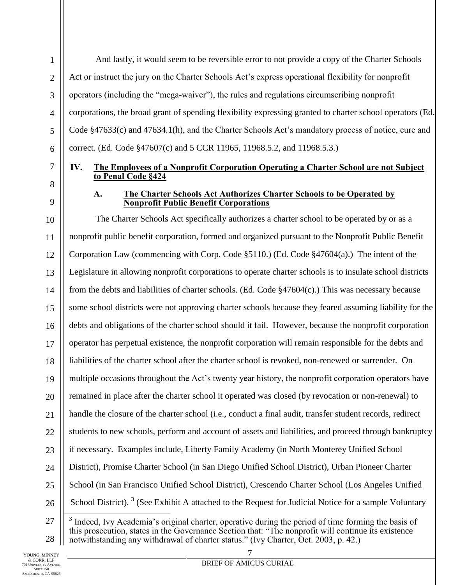And lastly, it would seem to be reversible error to not provide a copy of the Charter Schools Act or instruct the jury on the Charter Schools Act's express operational flexibility for nonprofit operators (including the "mega-waiver"), the rules and regulations circumscribing nonprofit corporations, the broad grant of spending flexibility expressing granted to charter school operators (Ed. Code §47633(c) and 47634.1(h), and the Charter Schools Act's mandatory process of notice, cure and correct. (Ed. Code §47607(c) and 5 CCR 11965, 11968.5.2, and 11968.5.3.)

## **IV. The Employees of a Nonprofit Corporation Operating a Charter School are not Subject to Penal Code §424**

1

2

3

4

5

6

7

8

9

#### **A. The Charter Schools Act Authorizes Charter Schools to be Operated by Nonprofit Public Benefit Corporations**

10 11 12 13 14 15 16 17 18 19 20 21 22 23 24 25 26 27 The Charter Schools Act specifically authorizes a charter school to be operated by or as a nonprofit public benefit corporation, formed and organized pursuant to the Nonprofit Public Benefit Corporation Law (commencing with Corp. Code §5110.) (Ed. Code §47604(a).) The intent of the Legislature in allowing nonprofit corporations to operate charter schools is to insulate school districts from the debts and liabilities of charter schools. (Ed. Code §47604(c).) This was necessary because some school districts were not approving charter schools because they feared assuming liability for the debts and obligations of the charter school should it fail. However, because the nonprofit corporation operator has perpetual existence, the nonprofit corporation will remain responsible for the debts and liabilities of the charter school after the charter school is revoked, non-renewed or surrender. On multiple occasions throughout the Act's twenty year history, the nonprofit corporation operators have remained in place after the charter school it operated was closed (by revocation or non-renewal) to handle the closure of the charter school (i.e., conduct a final audit, transfer student records, redirect students to new schools, perform and account of assets and liabilities, and proceed through bankruptcy if necessary. Examples include, Liberty Family Academy (in North Monterey Unified School District), Promise Charter School (in San Diego Unified School District), Urban Pioneer Charter School (in San Francisco Unified School District), Crescendo Charter School (Los Angeles Unified School District).  $3$  (See Exhibit A attached to the Request for Judicial Notice for a sample Voluntary ├

<sup>28</sup>  $3$  Indeed, Ivy Academia's original charter, operative during the period of time forming the basis of this prosecution, states in the Governance Section that: "The nonprofit will continue its existence notwithstanding any withdrawal of charter status." (Ivy Charter, Oct. 2003, p. 42.)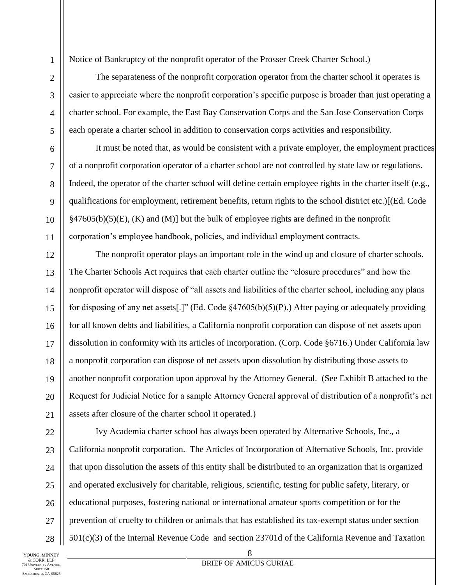Notice of Bankruptcy of the nonprofit operator of the Prosser Creek Charter School.)

The separateness of the nonprofit corporation operator from the charter school it operates is easier to appreciate where the nonprofit corporation's specific purpose is broader than just operating a charter school. For example, the East Bay Conservation Corps and the San Jose Conservation Corps each operate a charter school in addition to conservation corps activities and responsibility.

It must be noted that, as would be consistent with a private employer, the employment practices of a nonprofit corporation operator of a charter school are not controlled by state law or regulations. Indeed, the operator of the charter school will define certain employee rights in the charter itself (e.g., qualifications for employment, retirement benefits, return rights to the school district etc.)[(Ed. Code  $§47605(b)(5)(E)$ , (K) and (M)] but the bulk of employee rights are defined in the nonprofit corporation's employee handbook, policies, and individual employment contracts.

The nonprofit operator plays an important role in the wind up and closure of charter schools. The Charter Schools Act requires that each charter outline the "closure procedures" and how the nonprofit operator will dispose of "all assets and liabilities of the charter school, including any plans for disposing of any net assets[.]" (Ed. Code §47605(b)(5)(P).) After paying or adequately providing for all known debts and liabilities, a California nonprofit corporation can dispose of net assets upon dissolution in conformity with its articles of incorporation. (Corp. Code §6716.) Under California law a nonprofit corporation can dispose of net assets upon dissolution by distributing those assets to another nonprofit corporation upon approval by the Attorney General. (See Exhibit B attached to the Request for Judicial Notice for a sample Attorney General approval of distribution of a nonprofit's net assets after closure of the charter school it operated.)

Ivy Academia charter school has always been operated by Alternative Schools, Inc., a California nonprofit corporation. The Articles of Incorporation of Alternative Schools, Inc. provide that upon dissolution the assets of this entity shall be distributed to an organization that is organized and operated exclusively for charitable, religious, scientific, testing for public safety, literary, or educational purposes, fostering national or international amateur sports competition or for the prevention of cruelty to children or animals that has established its tax-exempt status under section 501(c)(3) of the Internal Revenue Code and section 23701d of the California Revenue and Taxation

1

2

3

4

5

6

7

8

9

10

11

12

13

14

15

16

17

18

19

20

21

22

23

24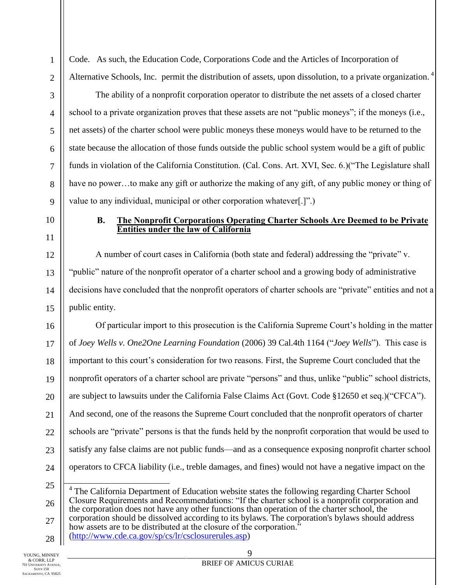Code. As such, the Education Code, Corporations Code and the Articles of Incorporation of Alternative Schools, Inc. permit the distribution of assets, upon dissolution, to a private organization.<sup>4</sup>

The ability of a nonprofit corporation operator to distribute the net assets of a closed charter school to a private organization proves that these assets are not "public moneys"; if the moneys (i.e., net assets) of the charter school were public moneys these moneys would have to be returned to the state because the allocation of those funds outside the public school system would be a gift of public funds in violation of the California Constitution. (Cal. Cons. Art. XVI, Sec. 6.)("The Legislature shall have no power...to make any gift or authorize the making of any gift, of any public money or thing of value to any individual, municipal or other corporation whatever[.]".)

**B. The Nonprofit Corporations Operating Charter Schools Are Deemed to be Private Entities under the law of California**

A number of court cases in California (both state and federal) addressing the "private" v. "public" nature of the nonprofit operator of a charter school and a growing body of administrative decisions have concluded that the nonprofit operators of charter schools are "private" entities and not a public entity.

16 17 18 19 20 21 22 23 24 Of particular import to this prosecution is the California Supreme Court's holding in the matter of *Joey Wells v. One2One Learning Foundation* (2006) 39 Cal.4th 1164 ("*Joey Wells*"). This case is important to this court's consideration for two reasons. First, the Supreme Court concluded that the nonprofit operators of a charter school are private "persons" and thus, unlike "public" school districts, are subject to lawsuits under the California False Claims Act (Govt. Code §12650 et seq.)("CFCA"). And second, one of the reasons the Supreme Court concluded that the nonprofit operators of charter schools are "private" persons is that the funds held by the nonprofit corporation that would be used to satisfy any false claims are not public funds—and as a consequence exposing nonprofit charter school operators to CFCA liability (i.e., treble damages, and fines) would not have a negative impact on the

25 26 27 28 ├ <sup>4</sup> The California Department of Education website states the following regarding Charter School Closure Requirements and Recommendations: "If the charter school is a nonprofit corporation and the corporation does not have any other functions than operation of the charter school, the corporation should be dissolved according to its bylaws. The corporation's bylaws should address how assets are to be distributed at the closure of the corporation." [\(http://www.cde.ca.gov/sp/cs/lr/csclosurerules.asp\)](http://www.cde.ca.gov/sp/cs/lr/csclosurerules.asp)

1

2

3

4

5

6

7

8

9

10

11

12

13

14

15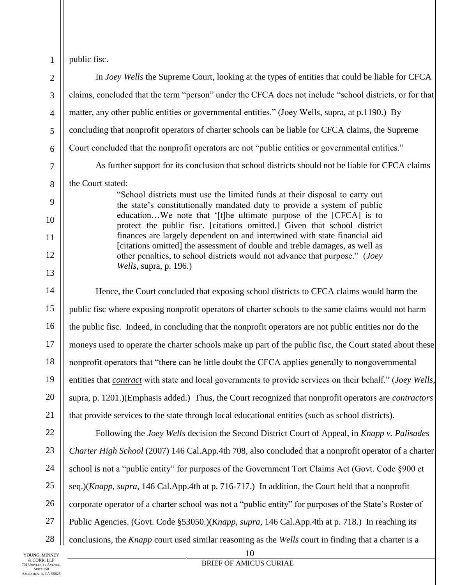public fisc.

1

10 2 3 4 5 6 7 8 9 10 11 12 13 14 15 16 17 18 19 20 21 22 23 24 25 26 27 In *Joey Wells* the Supreme Court, looking at the types of entities that could be liable for CFCA claims, concluded that the term "person" under the CFCA does not include "school districts, or for that matter, any other public entities or governmental entities." (Joey Wells, supra, at p.1190.) By concluding that nonprofit operators of charter schools can be liable for CFCA claims, the Supreme Court concluded that the nonprofit operators are not "public entities or governmental entities." As further support for its conclusion that school districts should not be liable for CFCA claims the Court stated: "School districts must use the limited funds at their disposal to carry out the state's constitutionally mandated duty to provide a system of public education…We note that '[t]he ultimate purpose of the [CFCA] is to protect the public fisc. [citations omitted.] Given that school district finances are largely dependent on and intertwined with state financial aid [citations omitted] the assessment of double and treble damages, as well as other penalties, to school districts would not advance that purpose." (*Joey Wells*, supra, p. 196.) Hence, the Court concluded that exposing school districts to CFCA claims would harm the public fisc where exposing nonprofit operators of charter schools to the same claims would not harm the public fisc. Indeed, in concluding that the nonprofit operators are not public entities nor do the moneys used to operate the charter schools make up part of the public fisc, the Court stated about these nonprofit operators that "there can be little doubt the CFCA applies generally to nongovernmental entities that *contract* with state and local governments to provide services on their behalf." (*Joey Wells*, supra, p. 1201.)(Emphasis added.) Thus, the Court recognized that nonprofit operators are *contractors* that provide services to the state through local educational entities (such as school districts). Following the *Joey Wells* decision the Second District Court of Appeal, in *Knapp v. Palisades Charter High School* (2007) 146 Cal.App.4th 708, also concluded that a nonprofit operator of a charter school is not a "public entity" for purposes of the Government Tort Claims Act (Govt. Code §900 et seq.)(*Knapp, supra*, 146 Cal.App.4th at p. 716-717.) In addition, the Court held that a nonprofit corporate operator of a charter school was not a "public entity" for purposes of the State's Roster of Public Agencies. (Govt. Code §53050.)(*Knapp, supra*, 146 Cal.App.4th at p. 718.) In reaching its conclusions, the *Knapp* court used similar reasoning as the *Wells* court in finding that a charter is a

28 YOUNG MINNEY & CORR, LLP 701 UNIVERSITY AVENUE, SUITE 150 SACRAMENTO, CA 95825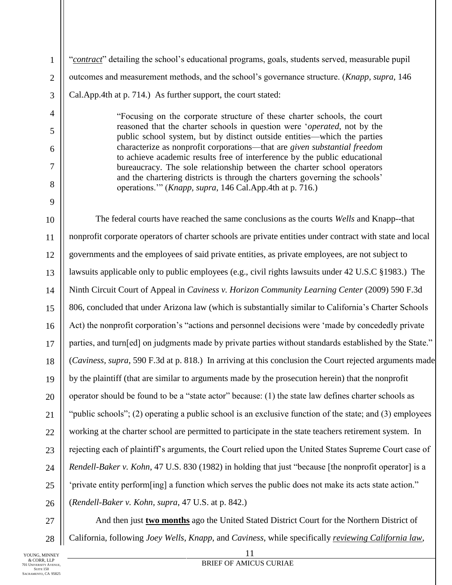"*contract*" detailing the school's educational programs, goals, students served, measurable pupil outcomes and measurement methods, and the school's governance structure. (*Knapp, supra*, 146 Cal.App.4th at p. 714.) As further support, the court stated:

> "Focusing on the corporate structure of these charter schools, the court reasoned that the charter schools in question were '*operated*, not by the public school system, but by distinct outside entities—which the parties characterize as nonprofit corporations—that are *given substantial freedom* to achieve academic results free of interference by the public educational bureaucracy. The sole relationship between the charter school operators and the chartering districts is through the charters governing the schools' operations.'" (*Knapp, supra*, 146 Cal.App.4th at p. 716.)

10 11 12 13 14 15 16 17 18 19 20 21 22 23 24 25 26 The federal courts have reached the same conclusions as the courts *Wells* and Knapp--that nonprofit corporate operators of charter schools are private entities under contract with state and local governments and the employees of said private entities, as private employees, are not subject to lawsuits applicable only to public employees (e.g., civil rights lawsuits under 42 U.S.C §1983.) The Ninth Circuit Court of Appeal in *Caviness v. Horizon Community Learning Center* (2009) 590 F.3d 806, concluded that under Arizona law (which is substantially similar to California's Charter Schools Act) the nonprofit corporation's "actions and personnel decisions were 'made by concededly private parties, and turn[ed] on judgments made by private parties without standards established by the State." (*Caviness, supra*, 590 F.3d at p. 818.) In arriving at this conclusion the Court rejected arguments made by the plaintiff (that are similar to arguments made by the prosecution herein) that the nonprofit operator should be found to be a "state actor" because: (1) the state law defines charter schools as "public schools"; (2) operating a public school is an exclusive function of the state; and (3) employees working at the charter school are permitted to participate in the state teachers retirement system. In rejecting each of plaintiff's arguments, the Court relied upon the United States Supreme Court case of *Rendell-Baker v. Kohn*, 47 U.S. 830 (1982) in holding that just "because [the nonprofit operator] is a 'private entity perform[ing] a function which serves the public does not make its acts state action." (*Rendell-Baker v. Kohn, supra*, 47 U.S. at p. 842.)

27 28

1

2

3

4

5

6

7

8

9

And then just **two months** ago the United Stated District Court for the Northern District of California, following *Joey Wells*, *Knapp*, and *Caviness*, while specifically *reviewing California law*,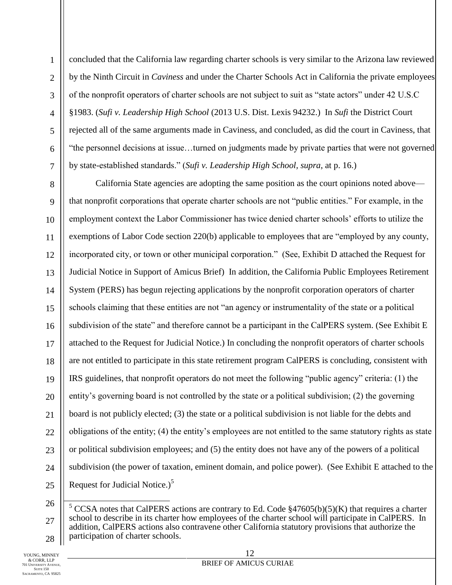concluded that the California law regarding charter schools is very similar to the Arizona law reviewed by the Ninth Circuit in *Caviness* and under the Charter Schools Act in California the private employees of the nonprofit operators of charter schools are not subject to suit as "state actors" under 42 U.S.C §1983. (*Sufi v. Leadership High School* (2013 U.S. Dist. Lexis 94232.) In *Sufi* the District Court rejected all of the same arguments made in Caviness, and concluded, as did the court in Caviness, that "the personnel decisions at issue…turned on judgments made by private parties that were not governed by state-established standards." (*Sufi v. Leadership High School, supra*, at p. 16.)

California State agencies are adopting the same position as the court opinions noted above that nonprofit corporations that operate charter schools are not "public entities." For example, in the employment context the Labor Commissioner has twice denied charter schools' efforts to utilize the exemptions of Labor Code section 220(b) applicable to employees that are "employed by any county, incorporated city, or town or other municipal corporation." (See, Exhibit D attached the Request for Judicial Notice in Support of Amicus Brief) In addition, the California Public Employees Retirement System (PERS) has begun rejecting applications by the nonprofit corporation operators of charter schools claiming that these entities are not "an agency or instrumentality of the state or a political subdivision of the state" and therefore cannot be a participant in the CalPERS system. (See Exhibit E attached to the Request for Judicial Notice.) In concluding the nonprofit operators of charter schools are not entitled to participate in this state retirement program CalPERS is concluding, consistent with IRS guidelines, that nonprofit operators do not meet the following "public agency" criteria: (1) the entity's governing board is not controlled by the state or a political subdivision; (2) the governing board is not publicly elected; (3) the state or a political subdivision is not liable for the debts and obligations of the entity; (4) the entity's employees are not entitled to the same statutory rights as state or political subdivision employees; and (5) the entity does not have any of the powers of a political subdivision (the power of taxation, eminent domain, and police power). (See Exhibit E attached to the Request for Judicial Notice.) $<sup>5</sup>$ </sup>

├

<sup>28</sup> <sup>5</sup> CCSA notes that CalPERS actions are contrary to Ed. Code  $$47605(b)(5)(K)$  that requires a charter school to describe in its charter how employees of the charter school will participate in CalPERS. In addition, CalPERS actions also contravene other California statutory provisions that authorize the participation of charter schools.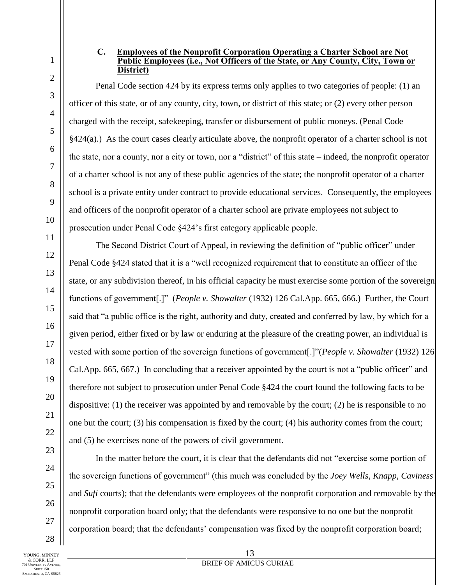2

3

4

#### **C. Employees of the Nonprofit Corporation Operating a Charter School are Not Public Employees (i.e., Not Officers of the State, or Any County, City, Town or District)**

Penal Code section 424 by its express terms only applies to two categories of people: (1) an officer of this state, or of any county, city, town, or district of this state; or (2) every other person charged with the receipt, safekeeping, transfer or disbursement of public moneys. (Penal Code §424(a).) As the court cases clearly articulate above, the nonprofit operator of a charter school is not the state, nor a county, nor a city or town, nor a "district" of this state – indeed, the nonprofit operator of a charter school is not any of these public agencies of the state; the nonprofit operator of a charter school is a private entity under contract to provide educational services. Consequently, the employees and officers of the nonprofit operator of a charter school are private employees not subject to prosecution under Penal Code §424's first category applicable people.

The Second District Court of Appeal, in reviewing the definition of "public officer" under Penal Code §424 stated that it is a "well recognized requirement that to constitute an officer of the state, or any subdivision thereof, in his official capacity he must exercise some portion of the sovereign functions of government[.]" (*People v. Showalter* (1932) 126 Cal.App. 665, 666.) Further, the Court said that "a public office is the right, authority and duty, created and conferred by law, by which for a given period, either fixed or by law or enduring at the pleasure of the creating power, an individual is vested with some portion of the sovereign functions of government[.]"(*People v. Showalter* (1932) 126 Cal.App. 665, 667.) In concluding that a receiver appointed by the court is not a "public officer" and therefore not subject to prosecution under Penal Code §424 the court found the following facts to be dispositive: (1) the receiver was appointed by and removable by the court; (2) he is responsible to no one but the court; (3) his compensation is fixed by the court; (4) his authority comes from the court; and (5) he exercises none of the powers of civil government.

In the matter before the court, it is clear that the defendants did not "exercise some portion of the sovereign functions of government" (this much was concluded by the *Joey Wells*, *Knapp*, *Caviness* and *Sufi* courts); that the defendants were employees of the nonprofit corporation and removable by the nonprofit corporation board only; that the defendants were responsive to no one but the nonprofit corporation board; that the defendants' compensation was fixed by the nonprofit corporation board;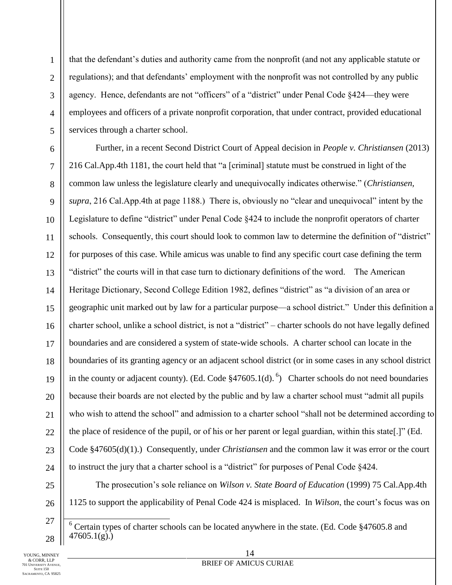that the defendant's duties and authority came from the nonprofit (and not any applicable statute or regulations); and that defendants' employment with the nonprofit was not controlled by any public agency. Hence, defendants are not "officers" of a "district" under Penal Code §424—they were employees and officers of a private nonprofit corporation, that under contract, provided educational services through a charter school.

Further, in a recent Second District Court of Appeal decision in *People v. Christiansen* (2013) 216 Cal.App.4th 1181, the court held that "a [criminal] statute must be construed in light of the common law unless the legislature clearly and unequivocally indicates otherwise." (*Christiansen, supra*, 216 Cal.App.4th at page 1188.) There is, obviously no "clear and unequivocal" intent by the Legislature to define "district" under Penal Code §424 to include the nonprofit operators of charter schools. Consequently, this court should look to common law to determine the definition of "district" for purposes of this case. While amicus was unable to find any specific court case defining the term "district" the courts will in that case turn to dictionary definitions of the word. The American Heritage Dictionary, Second College Edition 1982, defines "district" as "a division of an area or geographic unit marked out by law for a particular purpose—a school district." Under this definition a charter school, unlike a school district, is not a "district" – charter schools do not have legally defined boundaries and are considered a system of state-wide schools. A charter school can locate in the boundaries of its granting agency or an adjacent school district (or in some cases in any school district in the county or adjacent county). (Ed. Code  $\S47605.1(d)$ .<sup>6</sup>) Charter schools do not need boundaries because their boards are not elected by the public and by law a charter school must "admit all pupils who wish to attend the school" and admission to a charter school "shall not be determined according to the place of residence of the pupil, or of his or her parent or legal guardian, within this state[.]" (Ed. Code §47605(d)(1).) Consequently, under *Christiansen* and the common law it was error or the court to instruct the jury that a charter school is a "district" for purposes of Penal Code §424.

The prosecution's sole reliance on *Wilson v. State Board of Education* (1999) 75 Cal.App.4th 1125 to support the applicability of Penal Code 424 is misplaced. In *Wilson*, the court's focus was on

<sup>├</sup>  $6$  Certain types of charter schools can be located anywhere in the state. (Ed. Code  $§47605.8$  and  $47605.1(g)$ .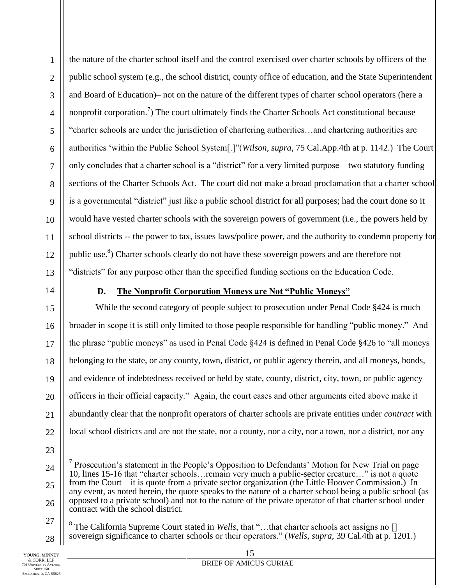the nature of the charter school itself and the control exercised over charter schools by officers of the public school system (e.g., the school district, county office of education, and the State Superintendent and Board of Education)– not on the nature of the different types of charter school operators (here a nonprofit corporation.<sup>7</sup>) The court ultimately finds the Charter Schools Act constitutional because "charter schools are under the jurisdiction of chartering authorities…and chartering authorities are authorities 'within the Public School System[.]"(*Wilson, supra*, 75 Cal.App.4th at p. 1142.) The Court only concludes that a charter school is a "district" for a very limited purpose – two statutory funding sections of the Charter Schools Act. The court did not make a broad proclamation that a charter school is a governmental "district" just like a public school district for all purposes; had the court done so it would have vested charter schools with the sovereign powers of government (i.e., the powers held by school districts -- the power to tax, issues laws/police power, and the authority to condemn property for public use.<sup>8</sup>) Charter schools clearly do not have these sovereign powers and are therefore not "districts" for any purpose other than the specified funding sections on the Education Code.

## **D. The Nonprofit Corporation Moneys are Not "Public Moneys"**

While the second category of people subject to prosecution under Penal Code §424 is much broader in scope it is still only limited to those people responsible for handling "public money." And the phrase "public moneys" as used in Penal Code §424 is defined in Penal Code §426 to "all moneys belonging to the state, or any county, town, district, or public agency therein, and all moneys, bonds, and evidence of indebtedness received or held by state, county, district, city, town, or public agency officers in their official capacity." Again, the court cases and other arguments cited above make it abundantly clear that the nonprofit operators of charter schools are private entities under *contract* with local school districts and are not the state, nor a county, nor a city, nor a town, nor a district, nor any

<sup>8</sup> The California Supreme Court stated in *Wells*, that "...that charter schools act assigns no [] sovereign significance to charter schools or their operators." (*Wells, supra*, 39 Cal.4th at p. 1201.)

<sup>├</sup> <sup>7</sup> Prosecution's statement in the People's Opposition to Defendants' Motion for New Trial on page 10, lines 15-16 that "charter schools…remain very much a public-sector creature…" is not a quote from the Court – it is quote from a private sector organization (the Little Hoover Commission.) In any event, as noted herein, the quote speaks to the nature of a charter school being a public school (as opposed to a private school) and not to the nature of the private operator of that charter school under contract with the school district.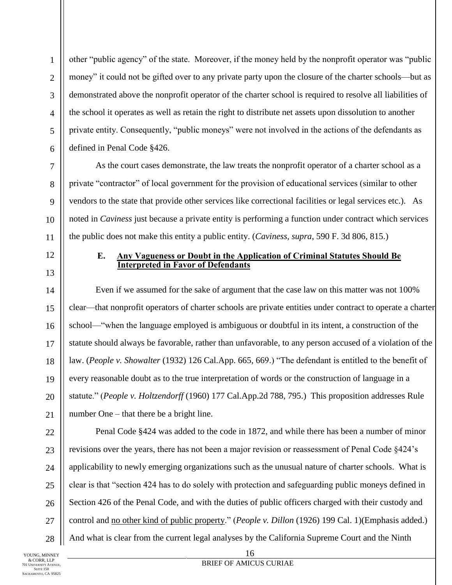other "public agency" of the state. Moreover, if the money held by the nonprofit operator was "public money" it could not be gifted over to any private party upon the closure of the charter schools—but as demonstrated above the nonprofit operator of the charter school is required to resolve all liabilities of the school it operates as well as retain the right to distribute net assets upon dissolution to another private entity. Consequently, "public moneys" were not involved in the actions of the defendants as defined in Penal Code §426.

As the court cases demonstrate, the law treats the nonprofit operator of a charter school as a private "contractor" of local government for the provision of educational services (similar to other vendors to the state that provide other services like correctional facilities or legal services etc.). As noted in *Caviness* just because a private entity is performing a function under contract which services the public does not make this entity a public entity. (*Caviness, supra*, 590 F. 3d 806, 815.)

#### **E. Any Vagueness or Doubt in the Application of Criminal Statutes Should Be Interpreted in Favor of Defendants**

Even if we assumed for the sake of argument that the case law on this matter was not 100% clear—that nonprofit operators of charter schools are private entities under contract to operate a charter school—"when the language employed is ambiguous or doubtful in its intent, a construction of the statute should always be favorable, rather than unfavorable, to any person accused of a violation of the law. (*People v. Showalter* (1932) 126 Cal.App. 665, 669.) "The defendant is entitled to the benefit of every reasonable doubt as to the true interpretation of words or the construction of language in a statute." (*People v. Holtzendorff* (1960) 177 Cal.App.2d 788, 795.) This proposition addresses Rule number One – that there be a bright line.

Penal Code §424 was added to the code in 1872, and while there has been a number of minor revisions over the years, there has not been a major revision or reassessment of Penal Code §424's applicability to newly emerging organizations such as the unusual nature of charter schools. What is clear is that "section 424 has to do solely with protection and safeguarding public moneys defined in Section 426 of the Penal Code, and with the duties of public officers charged with their custody and control and no other kind of public property." (*People v. Dillon* (1926) 199 Cal. 1)(Emphasis added.) And what is clear from the current legal analyses by the California Supreme Court and the Ninth

28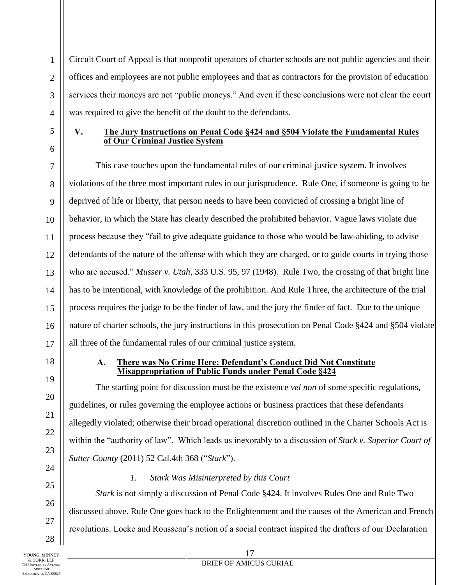Circuit Court of Appeal is that nonprofit operators of charter schools are not public agencies and their offices and employees are not public employees and that as contractors for the provision of education services their moneys are not "public moneys." And even if these conclusions were not clear the court was required to give the benefit of the doubt to the defendants.

## **V. The Jury Instructions on Penal Code §424 and §504 Violate the Fundamental Rules of Our Criminal Justice System**

This case touches upon the fundamental rules of our criminal justice system. It involves violations of the three most important rules in our jurisprudence. Rule One, if someone is going to be deprived of life or liberty, that person needs to have been convicted of crossing a bright line of behavior, in which the State has clearly described the prohibited behavior. Vague laws violate due process because they "fail to give adequate guidance to those who would be law-abiding, to advise defendants of the nature of the offense with which they are charged, or to guide courts in trying those who are accused." *Musser v. Utah*, 333 U.S. 95, 97 (1948). Rule Two, the crossing of that bright line has to be intentional, with knowledge of the prohibition. And Rule Three, the architecture of the trial process requires the judge to be the finder of law, and the jury the finder of fact. Due to the unique nature of charter schools, the jury instructions in this prosecution on Penal Code §424 and §504 violate all three of the fundamental rules of our criminal justice system.

## **A. There was No Crime Here; Defendant's Conduct Did Not Constitute Misappropriation of Public Funds under Penal Code §424**

The starting point for discussion must be the existence *vel non* of some specific regulations, guidelines, or rules governing the employee actions or business practices that these defendants allegedly violated; otherwise their broad operational discretion outlined in the Charter Schools Act is within the "authority of law". Which leads us inexorably to a discussion of *Stark v. Superior Court of Sutter County* (2011) 52 Cal.4th 368 ("*Stark*").

*1. Stark Was Misinterpreted by this Court*

*Stark* is not simply a discussion of Penal Code §424. It involves Rules One and Rule Two discussed above. Rule One goes back to the Enlightenment and the causes of the American and French revolutions. Locke and Rousseau's notion of a social contract inspired the drafters of our Declaration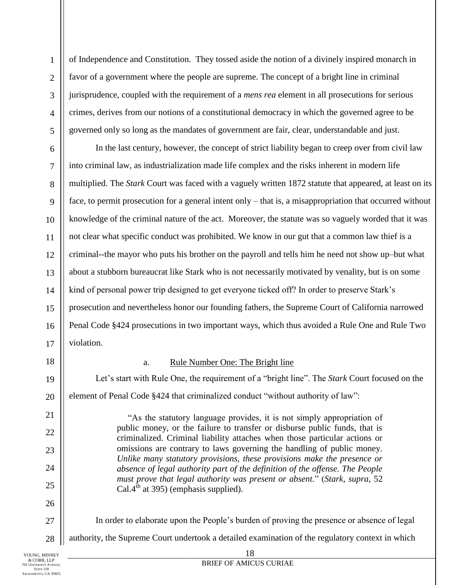of Independence and Constitution. They tossed aside the notion of a divinely inspired monarch in favor of a government where the people are supreme. The concept of a bright line in criminal jurisprudence, coupled with the requirement of a *mens rea* element in all prosecutions for serious crimes, derives from our notions of a constitutional democracy in which the governed agree to be governed only so long as the mandates of government are fair, clear, understandable and just.

In the last century, however, the concept of strict liability began to creep over from civil law into criminal law, as industrialization made life complex and the risks inherent in modern life multiplied. The *Stark* Court was faced with a vaguely written 1872 statute that appeared, at least on its face, to permit prosecution for a general intent only – that is, a misappropriation that occurred without knowledge of the criminal nature of the act. Moreover, the statute was so vaguely worded that it was not clear what specific conduct was prohibited. We know in our gut that a common law thief is a criminal--the mayor who puts his brother on the payroll and tells him he need not show up–but what about a stubborn bureaucrat like Stark who is not necessarily motivated by venality, but is on some kind of personal power trip designed to get everyone ticked off? In order to preserve Stark's prosecution and nevertheless honor our founding fathers, the Supreme Court of California narrowed Penal Code §424 prosecutions in two important ways, which thus avoided a Rule One and Rule Two violation.

18

#### a. Rule Number One: The Bright line

Let's start with Rule One, the requirement of a "bright line". The *Stark* Court focused on the element of Penal Code §424 that criminalized conduct "without authority of law":

> "As the statutory language provides, it is not simply appropriation of public money, or the failure to transfer or disburse public funds, that is criminalized. Criminal liability attaches when those particular actions or omissions are contrary to laws governing the handling of public money. *Unlike many statutory provisions, these provisions make the presence or absence of legal authority part of the definition of the offense. The People must prove that legal authority was present or absent.*" (*Stark, supra*, 52 Cal. $4^{th}$  at 395) (emphasis supplied).

In order to elaborate upon the People's burden of proving the presence or absence of legal

authority, the Supreme Court undertook a detailed examination of the regulatory context in which

18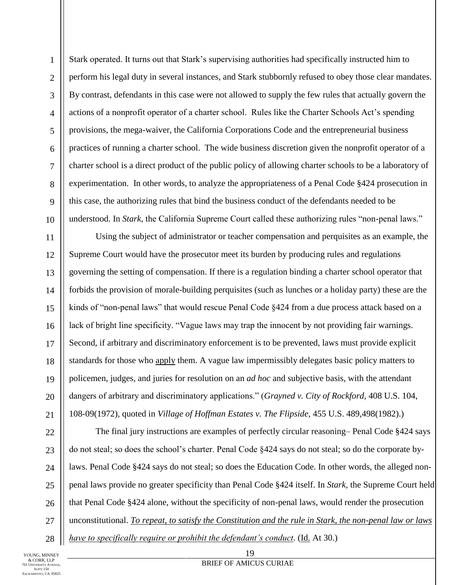1

Stark operated. It turns out that Stark's supervising authorities had specifically instructed him to perform his legal duty in several instances, and Stark stubbornly refused to obey those clear mandates. By contrast, defendants in this case were not allowed to supply the few rules that actually govern the actions of a nonprofit operator of a charter school. Rules like the Charter Schools Act's spending provisions, the mega-waiver, the California Corporations Code and the entrepreneurial business practices of running a charter school. The wide business discretion given the nonprofit operator of a charter school is a direct product of the public policy of allowing charter schools to be a laboratory of experimentation. In other words, to analyze the appropriateness of a Penal Code §424 prosecution in this case, the authorizing rules that bind the business conduct of the defendants needed to be understood. In *Stark*, the California Supreme Court called these authorizing rules "non-penal laws."

Using the subject of administrator or teacher compensation and perquisites as an example, the Supreme Court would have the prosecutor meet its burden by producing rules and regulations governing the setting of compensation. If there is a regulation binding a charter school operator that forbids the provision of morale-building perquisites (such as lunches or a holiday party) these are the kinds of "non-penal laws" that would rescue Penal Code §424 from a due process attack based on a lack of bright line specificity. "Vague laws may trap the innocent by not providing fair warnings. Second, if arbitrary and discriminatory enforcement is to be prevented, laws must provide explicit standards for those who apply them. A vague law impermissibly delegates basic policy matters to policemen, judges, and juries for resolution on an *ad hoc* and subjective basis, with the attendant dangers of arbitrary and discriminatory applications." (*Grayned v. City of Rockford,* 408 U.S. 104, 108-09(1972), quoted in *Village of Hoffman Estates v. The Flipside*, 455 U.S. 489,498(1982).)

The final jury instructions are examples of perfectly circular reasoning– Penal Code §424 says do not steal; so does the school's charter. Penal Code §424 says do not steal; so do the corporate bylaws. Penal Code §424 says do not steal; so does the Education Code. In other words, the alleged nonpenal laws provide no greater specificity than Penal Code §424 itself. In *Stark,* the Supreme Court held that Penal Code §424 alone, without the specificity of non-penal laws, would render the prosecution unconstitutional. *To repeat, to satisfy the Constitution and the rule in Stark, the non-penal law or laws* 

*have to specifically require or prohibit the defendant's conduct*. (Id. At 30.)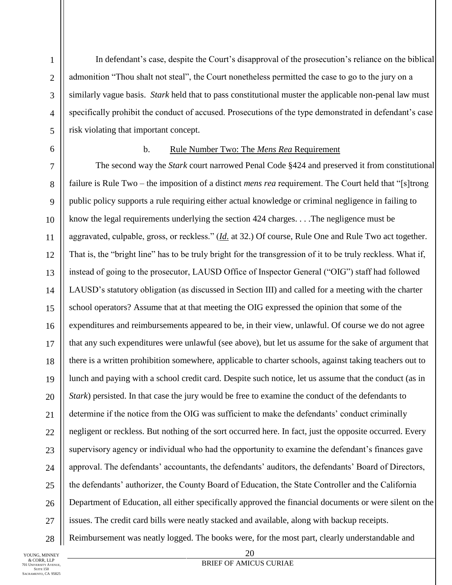In defendant's case, despite the Court's disapproval of the prosecution's reliance on the biblical admonition "Thou shalt not steal", the Court nonetheless permitted the case to go to the jury on a similarly vague basis. *Stark* held that to pass constitutional muster the applicable non-penal law must specifically prohibit the conduct of accused. Prosecutions of the type demonstrated in defendant's case risk violating that important concept.

#### b. Rule Number Two: The *Mens Rea* Requirement

The second way the *Stark* court narrowed Penal Code §424 and preserved it from constitutional failure is Rule Two – the imposition of a distinct *mens rea* requirement. The Court held that "[s]trong public policy supports a rule requiring either actual knowledge or criminal negligence in failing to know the legal requirements underlying the section 424 charges. . . .The negligence must be aggravated, culpable, gross, or reckless." (*Id*. at 32.) Of course, Rule One and Rule Two act together. That is, the "bright line" has to be truly bright for the transgression of it to be truly reckless. What if, instead of going to the prosecutor, LAUSD Office of Inspector General ("OIG") staff had followed LAUSD's statutory obligation (as discussed in Section III) and called for a meeting with the charter school operators? Assume that at that meeting the OIG expressed the opinion that some of the expenditures and reimbursements appeared to be, in their view, unlawful. Of course we do not agree that any such expenditures were unlawful (see above), but let us assume for the sake of argument that there is a written prohibition somewhere, applicable to charter schools, against taking teachers out to lunch and paying with a school credit card. Despite such notice, let us assume that the conduct (as in *Stark*) persisted. In that case the jury would be free to examine the conduct of the defendants to determine if the notice from the OIG was sufficient to make the defendants' conduct criminally negligent or reckless. But nothing of the sort occurred here. In fact, just the opposite occurred. Every supervisory agency or individual who had the opportunity to examine the defendant's finances gave approval. The defendants' accountants, the defendants' auditors, the defendants' Board of Directors, the defendants' authorizer, the County Board of Education, the State Controller and the California Department of Education, all either specifically approved the financial documents or were silent on the issues. The credit card bills were neatly stacked and available, along with backup receipts.

Reimbursement was neatly logged. The books were, for the most part, clearly understandable and

YOUNG, MINNEY & CORR, LLP 701 UNIVERSITY AVENUE, SUITE 150 SACRAMENTO, CA 95825

28

20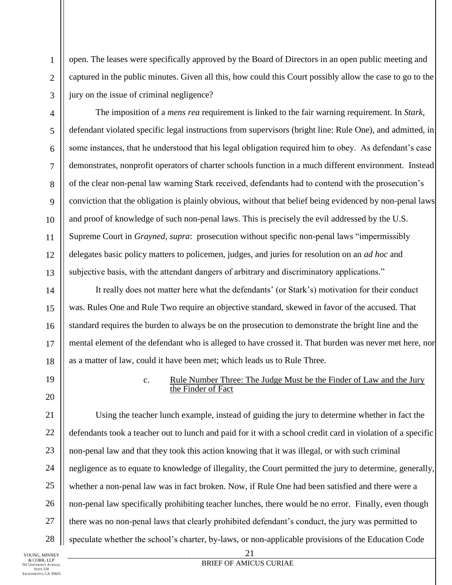open. The leases were specifically approved by the Board of Directors in an open public meeting and captured in the public minutes. Given all this, how could this Court possibly allow the case to go to the jury on the issue of criminal negligence?

The imposition of a *mens rea* requirement is linked to the fair warning requirement. In *Stark,*  defendant violated specific legal instructions from supervisors (bright line: Rule One), and admitted, in some instances, that he understood that his legal obligation required him to obey. As defendant's case demonstrates, nonprofit operators of charter schools function in a much different environment. Instead of the clear non-penal law warning Stark received, defendants had to contend with the prosecution's conviction that the obligation is plainly obvious, without that belief being evidenced by non-penal laws and proof of knowledge of such non-penal laws. This is precisely the evil addressed by the U.S. Supreme Court in *Grayned*, *supra*: prosecution without specific non-penal laws "impermissibly delegates basic policy matters to policemen, judges, and juries for resolution on an *ad hoc* and subjective basis, with the attendant dangers of arbitrary and discriminatory applications."

It really does not matter here what the defendants' (or Stark's) motivation for their conduct was. Rules One and Rule Two require an objective standard, skewed in favor of the accused. That standard requires the burden to always be on the prosecution to demonstrate the bright line and the mental element of the defendant who is alleged to have crossed it. That burden was never met here, nor as a matter of law, could it have been met; which leads us to Rule Three.

19

1

2

3

4

5

6

7

8

9

10

11

12

13

14

15

16

17

18

20

## c. Rule Number Three: The Judge Must be the Finder of Law and the Jury the Finder of Fact

21 22 23 24 25 26 27 28 Using the teacher lunch example, instead of guiding the jury to determine whether in fact the defendants took a teacher out to lunch and paid for it with a school credit card in violation of a specific non-penal law and that they took this action knowing that it was illegal, or with such criminal negligence as to equate to knowledge of illegality, the Court permitted the jury to determine, generally, whether a non-penal law was in fact broken. Now, if Rule One had been satisfied and there were a non-penal law specifically prohibiting teacher lunches, there would be no error. Finally, even though there was no non-penal laws that clearly prohibited defendant's conduct, the jury was permitted to speculate whether the school's charter, by-laws, or non-applicable provisions of the Education Code

YOUNG, MINNEY & CORR, LLP 701 UNIVERSITY AVENUE, SUITE 150 SACRAMENTO, CA 95825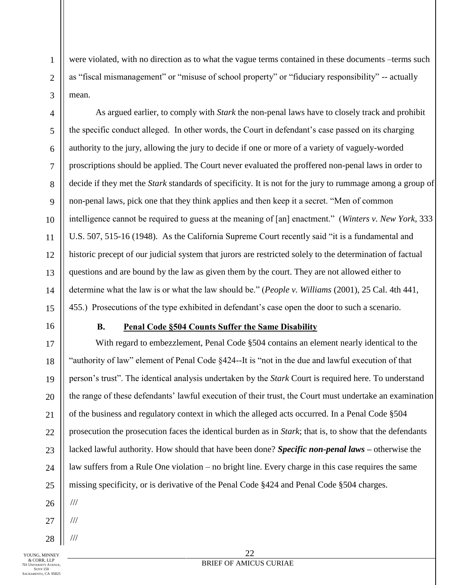were violated, with no direction as to what the vague terms contained in these documents –terms such as "fiscal mismanagement" or "misuse of school property" or "fiduciary responsibility" -- actually mean.

As argued earlier, to comply with *Stark* the non-penal laws have to closely track and prohibit the specific conduct alleged. In other words, the Court in defendant's case passed on its charging authority to the jury, allowing the jury to decide if one or more of a variety of vaguely-worded proscriptions should be applied. The Court never evaluated the proffered non-penal laws in order to decide if they met the *Stark* standards of specificity. It is not for the jury to rummage among a group of non-penal laws, pick one that they think applies and then keep it a secret. "Men of common intelligence cannot be required to guess at the meaning of [an] enactment." (*Winters v. New York*, 333 U.S. 507, 515-16 (1948). As the California Supreme Court recently said "it is a fundamental and historic precept of our judicial system that jurors are restricted solely to the determination of factual questions and are bound by the law as given them by the court. They are not allowed either to determine what the law is or what the law should be." (*People v. Williams* (2001), 25 Cal. 4th 441, 455.) Prosecutions of the type exhibited in defendant's case open the door to such a scenario.

## **B. Penal Code §504 Counts Suffer the Same Disability**

With regard to embezzlement, Penal Code §504 contains an element nearly identical to the "authority of law" element of Penal Code §424--It is "not in the due and lawful execution of that person's trust". The identical analysis undertaken by the *Stark* Court is required here. To understand the range of these defendants' lawful execution of their trust, the Court must undertake an examination of the business and regulatory context in which the alleged acts occurred. In a Penal Code §504 prosecution the prosecution faces the identical burden as in *Stark*; that is, to show that the defendants lacked lawful authority. How should that have been done? *Specific non-penal laws –* otherwise the law suffers from a Rule One violation – no bright line. Every charge in this case requires the same missing specificity, or is derivative of the Penal Code §424 and Penal Code §504 charges. ///

- ///
- 

///